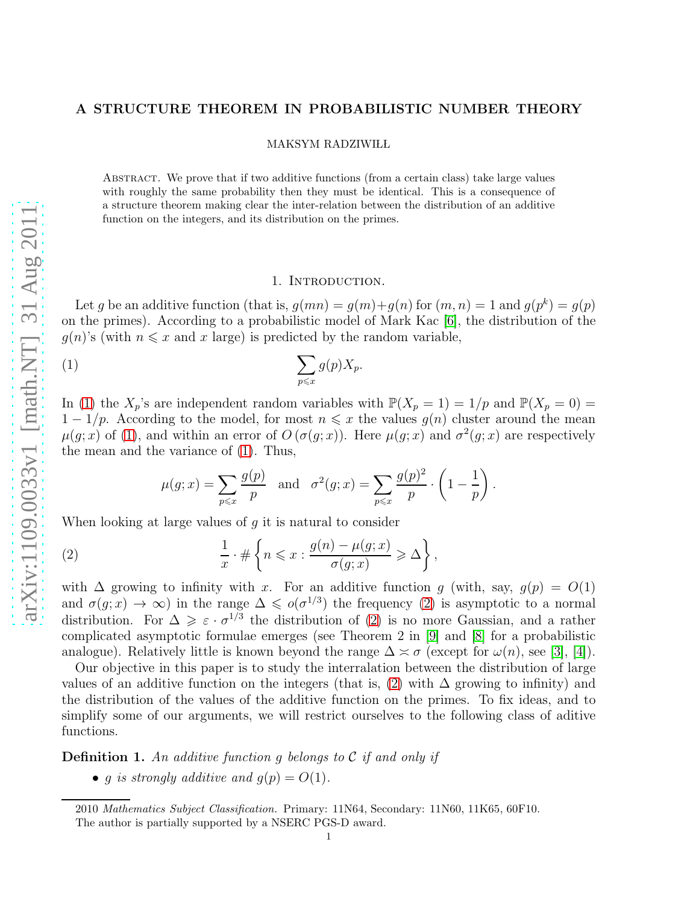## A STRUCTURE THEOREM IN PROBABILISTIC NUMBER THEORY

MAKSYM RADZIWIŁL

Abstract. We prove that if two additive functions (from a certain class) take large values with roughly the same probability then they must be identical. This is a consequence of a structure theorem making clear the inter-relation between the distribution of an additive function on the integers, and its distribution on the primes.

#### <span id="page-0-0"></span>1. Introduction.

Let g be an additive function (that is,  $g(mn) = g(m)+g(n)$  for  $(m, n) = 1$  and  $g(p^k) = g(p)$ on the primes). According to a probabilistic model of Mark Kac [\[6\]](#page-9-0), the distribution of the  $g(n)$ 's (with  $n \leq x$  and x large) is predicted by the random variable,

$$
(1) \qquad \qquad \sum_{p\leqslant x} g(p)X_p.
$$

In [\(1\)](#page-0-0) the  $X_p$ 's are independent random variables with  $\mathbb{P}(X_p = 1) = 1/p$  and  $\mathbb{P}(X_p = 0) =$  $1 - 1/p$ . According to the model, for most  $n \leq x$  the values  $g(n)$  cluster around the mean  $\mu(g; x)$  of [\(1\)](#page-0-0), and within an error of  $O(\sigma(g; x))$ . Here  $\mu(g; x)$  and  $\sigma^2(g; x)$  are respectively the mean and the variance of [\(1\)](#page-0-0). Thus,

<span id="page-0-1"></span>
$$
\mu(g; x) = \sum_{p \leq x} \frac{g(p)}{p}
$$
 and  $\sigma^2(g; x) = \sum_{p \leq x} \frac{g(p)^2}{p} \cdot \left(1 - \frac{1}{p}\right)$ .

When looking at large values of  $q$  it is natural to consider

(2) 
$$
\frac{1}{x} \cdot \# \left\{ n \leqslant x : \frac{g(n) - \mu(g; x)}{\sigma(g; x)} \geqslant \Delta \right\},\
$$

with  $\Delta$  growing to infinity with x. For an additive function g (with, say,  $g(p) = O(1)$ ) and  $\sigma(g; x) \to \infty$ ) in the range  $\Delta \leq \sigma(\sigma^{1/3})$  the frequency [\(2\)](#page-0-1) is asymptotic to a normal distribution. For  $\Delta \geqslant \varepsilon \cdot \sigma^{1/3}$  the distribution of [\(2\)](#page-0-1) is no more Gaussian, and a rather complicated asymptotic formulae emerges (see Theorem 2 in [\[9\]](#page-9-1) and [\[8\]](#page-9-2) for a probabilistic analogue). Relatively little is known beyond the range  $\Delta \approx \sigma$  (except for  $\omega(n)$ , see [\[3\]](#page-9-3), [\[4\]](#page-9-4)).

Our objective in this paper is to study the interralation between the distribution of large values of an additive function on the integers (that is,  $(2)$  with  $\Delta$  growing to infinity) and the distribution of the values of the additive function on the primes. To fix ideas, and to simplify some of our arguments, we will restrict ourselves to the following class of aditive functions.

**Definition 1.** An additive function q belongs to  $\mathcal C$  if and only if

• q is strongly additive and  $q(p) = O(1)$ .

<sup>2010</sup> Mathematics Subject Classification. Primary: 11N64, Secondary: 11N60, 11K65, 60F10.

The author is partially supported by a NSERC PGS-D award.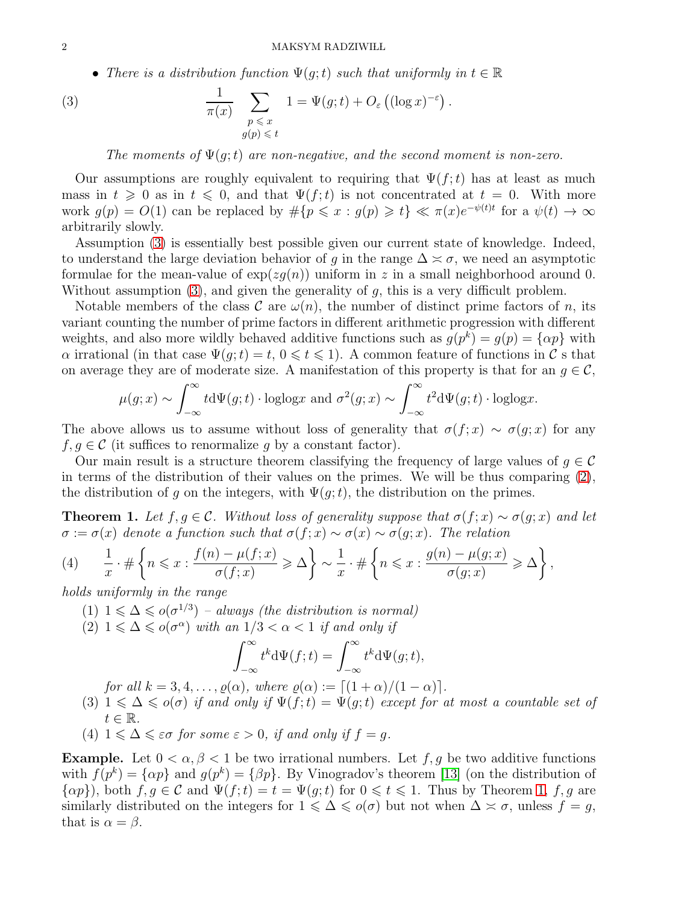• There is a distribution function  $\Psi(g;t)$  such that uniformly in  $t \in \mathbb{R}$ 

(3) 
$$
\frac{1}{\pi(x)} \sum_{\substack{p \leq x \\ g(p) \leq t}} 1 = \Psi(g; t) + O_{\varepsilon} \left( (\log x)^{-\varepsilon} \right).
$$

<span id="page-1-0"></span>The moments of  $\Psi(q;t)$  are non-negative, and the second moment is non-zero.

Our assumptions are roughly equivalent to requiring that  $\Psi(f;t)$  has at least as much mass in  $t \geq 0$  as in  $t \leq 0$ , and that  $\Psi(f; t)$  is not concentrated at  $t = 0$ . With more work  $g(p) = O(1)$  can be replaced by  $\#\{p \leq x : g(p) \geq t\} \ll \pi(x)e^{-\psi(t)t}$  for a  $\psi(t) \to \infty$ arbitrarily slowly.

Assumption [\(3\)](#page-1-0) is essentially best possible given our current state of knowledge. Indeed, to understand the large deviation behavior of q in the range  $\Delta \approx \sigma$ , we need an asymptotic formulae for the mean-value of  $\exp(zg(n))$  uniform in z in a small neighborhood around 0. Without assumption  $(3)$ , and given the generality of q, this is a very difficult problem.

Notable members of the class C are  $\omega(n)$ , the number of distinct prime factors of n, its variant counting the number of prime factors in different arithmetic progression with different weights, and also more wildly behaved additive functions such as  $g(p^k) = g(p) = \{\alpha p\}$  with  $\alpha$  irrational (in that case  $\Psi(g; t) = t, 0 \leq t \leq 1$ ). A common feature of functions in C s that on average they are of moderate size. A manifestation of this property is that for an  $g \in \mathcal{C}$ ,

$$
\mu(g; x) \sim \int_{-\infty}^{\infty} t d\Psi(g; t) \cdot \text{loglog}x \text{ and } \sigma^2(g; x) \sim \int_{-\infty}^{\infty} t^2 d\Psi(g; t) \cdot \text{loglog}x.
$$

The above allows us to assume without loss of generality that  $\sigma(f; x) \sim \sigma(q; x)$  for any  $f, g \in \mathcal{C}$  (it suffices to renormalize g by a constant factor).

Our main result is a structure theorem classifying the frequency of large values of  $q \in \mathcal{C}$ in terms of the distribution of their values on the primes. We will be thus comparing [\(2\)](#page-0-1), the distribution of g on the integers, with  $\Psi(g;t)$ , the distribution on the primes.

<span id="page-1-1"></span>**Theorem 1.** Let  $f, g \in \mathcal{C}$ . Without loss of generality suppose that  $\sigma(f; x) \sim \sigma(g; x)$  and let  $\sigma := \sigma(x)$  denote a function such that  $\sigma(f; x) \sim \sigma(x) \sim \sigma(g; x)$ . The relation

<span id="page-1-3"></span>(4) 
$$
\frac{1}{x} \cdot \# \left\{ n \leqslant x : \frac{f(n) - \mu(f; x)}{\sigma(f; x)} \geqslant \Delta \right\} \sim \frac{1}{x} \cdot \# \left\{ n \leqslant x : \frac{g(n) - \mu(g; x)}{\sigma(g; x)} \geqslant \Delta \right\},
$$

<span id="page-1-6"></span><span id="page-1-4"></span>holds uniformly in the range

- (1)  $1 \leq \Delta \leq o(\sigma^{1/3})$  always (the distribution is normal)
- (2)  $1 \leq \Delta \leq o(\sigma^{\alpha})$  with an  $1/3 < \alpha < 1$  if and only if

$$
\int_{-\infty}^{\infty} t^k \mathrm{d}\Psi(f;t) = \int_{-\infty}^{\infty} t^k \mathrm{d}\Psi(g;t),
$$

for all  $k = 3, 4, \ldots, \varrho(\alpha)$ , where  $\varrho(\alpha) := \lceil (1 + \alpha)/(1 - \alpha) \rceil$ .

- <span id="page-1-5"></span>(3)  $1 \leq \Delta \leq o(\sigma)$  if and only if  $\Psi(f;t) = \Psi(g;t)$  except for at most a countable set of  $t \in \mathbb{R}$ .
- <span id="page-1-2"></span>(4)  $1 \leq \Delta \leq \varepsilon \sigma$  for some  $\varepsilon > 0$ , if and only if  $f = g$ .

**Example.** Let  $0 < \alpha, \beta < 1$  be two irrational numbers. Let f, g be two additive functions with  $f(p^k) = \{\alpha p\}$  and  $g(p^k) = \{\beta p\}$ . By Vinogradov's theorem [\[13\]](#page-9-5) (on the distribution of  $\{\alpha p\}$ , both  $f, g \in \mathcal{C}$  and  $\Psi(f; t) = t = \Psi(g; t)$  for  $0 \leq t \leq 1$ . Thus by Theorem [1,](#page-1-1)  $f, g$  are similarly distributed on the integers for  $1 \leq \Delta \leq o(\sigma)$  but not when  $\Delta \approx \sigma$ , unless  $f = g$ , that is  $\alpha = \beta$ .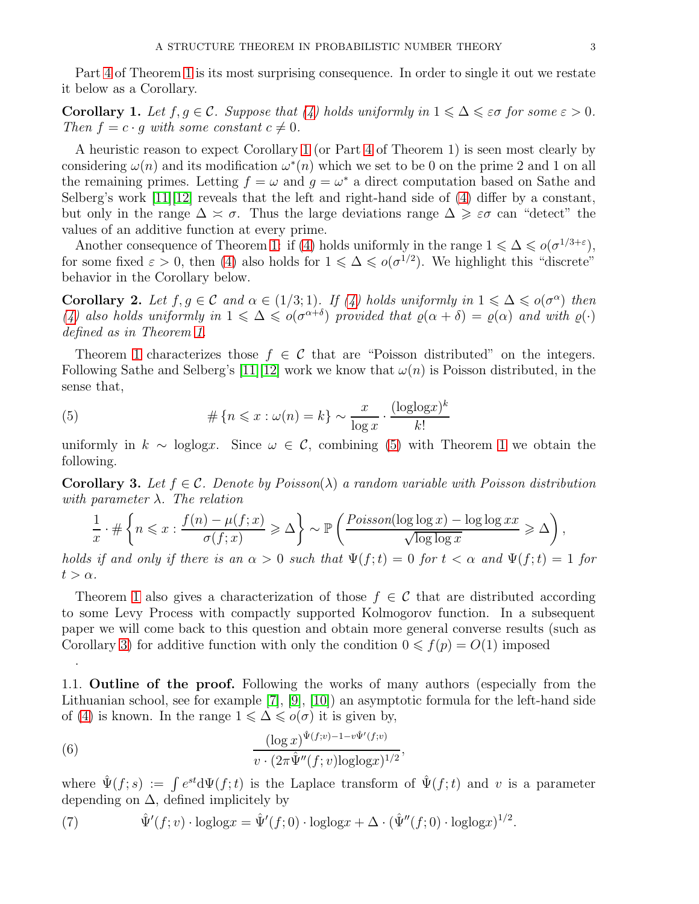Part [4](#page-1-2) of Theorem [1](#page-1-1) is its most surprising consequence. In order to single it out we restate it below as a Corollary.

<span id="page-2-0"></span>**Corollary 1.** Let  $f, g \in \mathcal{C}$ . Suppose that [\(4\)](#page-1-3) holds uniformly in  $1 \leq \Delta \leq \varepsilon \sigma$  for some  $\varepsilon > 0$ . Then  $f = c \cdot q$  with some constant  $c \neq 0$ .

A heuristic reason to expect Corollary [1](#page-2-0) (or Part [4](#page-1-2) of Theorem 1) is seen most clearly by considering  $\omega(n)$  and its modification  $\omega^*(n)$  which we set to be 0 on the prime 2 and 1 on all the remaining primes. Letting  $f = \omega$  and  $g = \omega^*$  a direct computation based on Sathe and Selberg's work  $[11][12]$  $[11][12]$  reveals that the left and right-hand side of [\(4\)](#page-1-3) differ by a constant, but only in the range  $\Delta \simeq \sigma$ . Thus the large deviations range  $\Delta \geq \varepsilon \sigma$  can "detect" the values of an additive function at every prime.

Another consequence of Theorem [1:](#page-1-1) if [\(4\)](#page-1-3) holds uniformly in the range  $1 \leq \Delta \leq o(\sigma^{1/3+\varepsilon})$ , for some fixed  $\varepsilon > 0$ , then [\(4\)](#page-1-3) also holds for  $1 \leq \Delta \leq o(\sigma^{1/2})$ . We highlight this "discrete" behavior in the Corollary below.

**Corollary 2.** Let  $f, g \in \mathcal{C}$  and  $\alpha \in (1/3, 1)$ . If [\(4\)](#page-1-3) holds uniformly in  $1 \leq \alpha \leq o(\sigma^{\alpha})$  then [\(4\)](#page-1-3) also holds uniformly in  $1 \leq \Delta \leq o(\sigma^{\alpha+\delta})$  provided that  $\varrho(\alpha+\delta) = \varrho(\alpha)$  and with  $\varrho(\cdot)$ defined as in Theorem [1.](#page-1-1)

Theorem [1](#page-1-1) characterizes those  $f \in \mathcal{C}$  that are "Poisson distributed" on the integers. Following Sathe and Selberg's [\[11\]](#page-9-6)[\[12\]](#page-9-7) work we know that  $\omega(n)$  is Poisson distributed, in the sense that,

<span id="page-2-1"></span>(5) 
$$
\#\left\{n \leqslant x : \omega(n) = k\right\} \sim \frac{x}{\log x} \cdot \frac{(\log \log x)^k}{k!}
$$

uniformly in  $k \sim \text{loglog}x$ . Since  $\omega \in \mathcal{C}$ , combining [\(5\)](#page-2-1) with Theorem [1](#page-1-1) we obtain the following.

<span id="page-2-2"></span>**Corollary 3.** Let  $f \in \mathcal{C}$ . Denote by Poisson( $\lambda$ ) a random variable with Poisson distribution with parameter  $\lambda$ . The relation

$$
\frac{1}{x} \cdot \#\left\{ n \leqslant x : \frac{f(n) - \mu(f; x)}{\sigma(f; x)} \geqslant \Delta \right\} \sim \mathbb{P}\left(\frac{Poisson(\log \log x) - \log \log xx}{\sqrt{\log \log x}} \geqslant \Delta\right),
$$

holds if and only if there is an  $\alpha > 0$  such that  $\Psi(f;t) = 0$  for  $t < \alpha$  and  $\Psi(f;t) = 1$  for  $t > \alpha$ .

Theorem [1](#page-1-1) also gives a characterization of those  $f \in \mathcal{C}$  that are distributed according to some Levy Process with compactly supported Kolmogorov function. In a subsequent paper we will come back to this question and obtain more general converse results (such as Corollary [3\)](#page-2-2) for additive function with only the condition  $0 \leq f(p) = O(1)$  imposed

1.1. Outline of the proof. Following the works of many authors (especially from the Lithuanian school, see for example [\[7\]](#page-9-8), [\[9\]](#page-9-1), [\[10\]](#page-9-9)) an asymptotic formula for the left-hand side of [\(4\)](#page-1-3) is known. In the range  $1 \leq \Delta \leq o(\sigma)$  it is given by,

<span id="page-2-3"></span>(6) 
$$
\frac{(\log x)^{\hat{\Psi}(f;v)-1-v\hat{\Psi}'(f;v)}}{v \cdot (2\pi \hat{\Psi}''(f;v)\log(\log x))^{1/2}},
$$

.

where  $\hat{\Psi}(f;s) := \int e^{st} d\Psi(f;t)$  is the Laplace transform of  $\hat{\Psi}(f;t)$  and v is a parameter depending on  $\Delta$ , defined implicitely by

<span id="page-2-4"></span>(7) 
$$
\hat{\Psi}'(f; v) \cdot \log \log x = \hat{\Psi}'(f; 0) \cdot \log \log x + \Delta \cdot (\hat{\Psi}''(f; 0) \cdot \log \log x)^{1/2}.
$$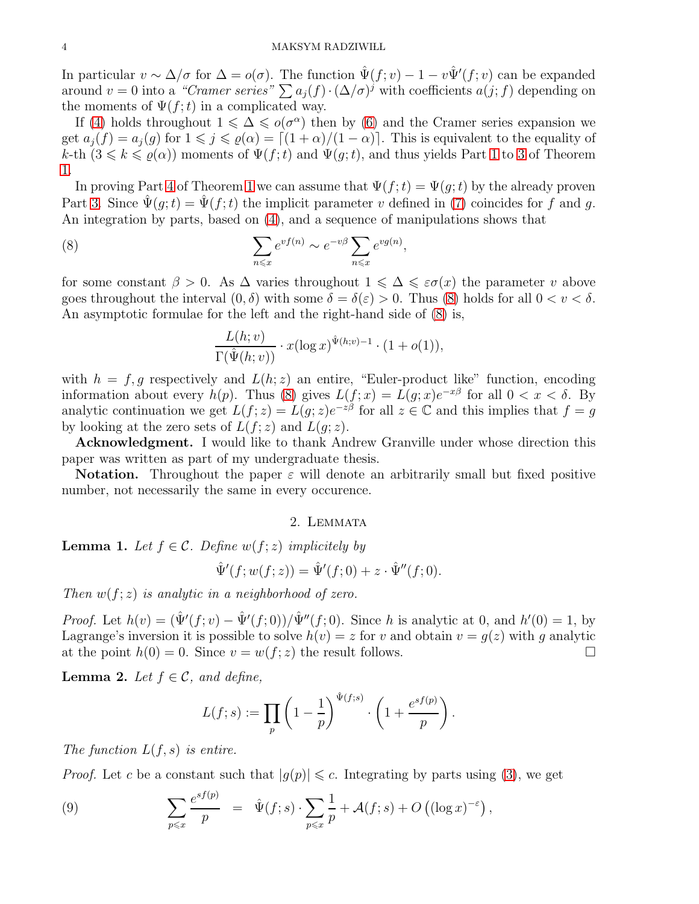In particular  $v \sim \Delta/\sigma$  for  $\Delta = o(\sigma)$ . The function  $\hat{\Psi}(f; v) - 1 - v\hat{\Psi}'(f; v)$  can be expanded around  $v = 0$  into a "Cramer series"  $\sum a_j(f) \cdot (\Delta/\sigma)^j$  with coefficients  $a(j; f)$  depending on the moments of  $\Psi(f;t)$  in a complicated way.

If [\(4\)](#page-1-3) holds throughout  $1 \leq \Delta \leq o(\sigma^{\alpha})$  then by [\(6\)](#page-2-3) and the Cramer series expansion we get  $a_j(f) = a_j(g)$  for  $1 \leq j \leq \varrho(\alpha) = \lfloor (1 + \alpha)/(1 - \alpha) \rfloor$ . This is equivalent to the equality of k-th  $(3 \leq k \leq \rho(\alpha))$  moments of  $\Psi(f;t)$  and  $\Psi(g;t)$ , and thus yields Part [1](#page-1-4) to [3](#page-1-5) of Theorem [1.](#page-1-1)

In proving Part [4](#page-1-2) of Theorem [1](#page-1-1) we can assume that  $\Psi(f; t) = \Psi(g; t)$  by the already proven Part [3.](#page-1-5) Since  $\hat{\Psi}(q;t) = \hat{\Psi}(f;t)$  the implicit parameter v defined in [\(7\)](#page-2-4) coincides for f and q. An integration by parts, based on [\(4\)](#page-1-3), and a sequence of manipulations shows that

(8) 
$$
\sum_{n \leq x} e^{vf(n)} \sim e^{-v\beta} \sum_{n \leq x} e^{vg(n)},
$$

for some constant  $\beta > 0$ . As  $\Delta$  varies throughout  $1 \leq \Delta \leq \epsilon \sigma(x)$  the parameter v above goes throughout the interval  $(0, \delta)$  with some  $\delta = \delta(\varepsilon) > 0$ . Thus [\(8\)](#page-3-0) holds for all  $0 < v < \delta$ . An asymptotic formulae for the left and the right-hand side of [\(8\)](#page-3-0) is,

<span id="page-3-0"></span>
$$
\frac{L(h;v)}{\Gamma(\hat{\Psi}(h;v))} \cdot x(\log x)^{\hat{\Psi}(h;v)-1} \cdot (1+o(1)),
$$

with  $h = f, g$  respectively and  $L(h; z)$  an entire, "Euler-product like" function, encoding information about every  $h(p)$ . Thus [\(8\)](#page-3-0) gives  $L(f; x) = L(g; x)e^{-x\beta}$  for all  $0 < x < \delta$ . By analytic continuation we get  $L(f; z) = L(g; z)e^{-z\beta}$  for all  $z \in \mathbb{C}$  and this implies that  $f = g$ by looking at the zero sets of  $L(f; z)$  and  $L(q; z)$ .

Acknowledgment. I would like to thank Andrew Granville under whose direction this paper was written as part of my undergraduate thesis.

**Notation.** Throughout the paper  $\varepsilon$  will denote an arbitrarily small but fixed positive number, not necessarily the same in every occurence.

#### 2. Lemmata

<span id="page-3-2"></span>**Lemma 1.** Let  $f \in \mathcal{C}$ . Define  $w(f; z)$  implicitely by

$$
\hat{\Psi}'(f; w(f; z)) = \hat{\Psi}'(f; 0) + z \cdot \hat{\Psi}''(f; 0).
$$

Then  $w(f; z)$  is analytic in a neighborhood of zero.

*Proof.* Let  $h(v) = (\hat{\Psi}'(f; v) - \hat{\Psi}'(f; 0)) / \hat{\Psi}''(f; 0)$ . Since h is analytic at 0, and  $h'(0) = 1$ , by Lagrange's inversion it is possible to solve  $h(v) = z$  for v and obtain  $v = g(z)$  with g analytic at the point  $h(0) = 0$ . Since  $v = w(f; z)$  the result follows.

**Lemma 2.** Let  $f \in \mathcal{C}$ , and define,

$$
L(f;s) := \prod_p \left(1 - \frac{1}{p}\right)^{\hat{\Psi}(f;s)} \cdot \left(1 + \frac{e^{sf(p)}}{p}\right).
$$

The function  $L(f, s)$  is entire.

*Proof.* Let c be a constant such that  $|g(p)| \leq c$ . Integrating by parts using [\(3\)](#page-1-0), we get

<span id="page-3-1"></span>(9) 
$$
\sum_{p\leqslant x}\frac{e^{sf(p)}}{p} = \hat{\Psi}(f;s)\cdot \sum_{p\leqslant x}\frac{1}{p} + \mathcal{A}(f;s) + O\left((\log x)^{-\varepsilon}\right),
$$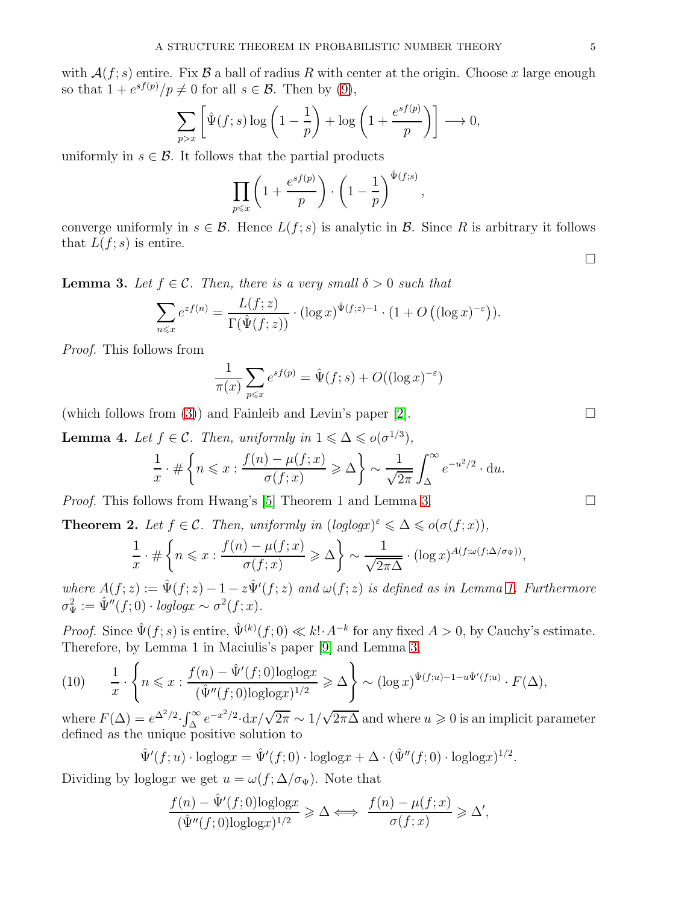with  $\mathcal{A}(f; s)$  entire. Fix  $\mathcal B$  a ball of radius R with center at the origin. Choose x large enough so that  $1 + e^{sf(p)}/p \neq 0$  for all  $s \in \mathcal{B}$ . Then by [\(9\)](#page-3-1),

$$
\sum_{p>x} \left[ \hat{\Psi}(f;s) \log \left( 1 - \frac{1}{p} \right) + \log \left( 1 + \frac{e^{sf(p)}}{p} \right) \right] \longrightarrow 0,
$$

uniformly in  $s \in \mathcal{B}$ . It follows that the partial products

$$
\prod_{p \leqslant x} \left( 1 + \frac{e^{sf(p)}}{p} \right) \cdot \left( 1 - \frac{1}{p} \right)^{\hat{\Psi}(f;s)}
$$

,

converge uniformly in  $s \in \mathcal{B}$ . Hence  $L(f; s)$  is analytic in  $\mathcal{B}$ . Since R is arbitrary it follows that  $L(f; s)$  is entire.

<span id="page-4-0"></span>**Lemma 3.** Let  $f \in \mathcal{C}$ . Then, there is a very small  $\delta > 0$  such that

$$
\sum_{n\leqslant x}e^{zf(n)}=\frac{L(f;z)}{\Gamma(\hat{\Psi}(f;z))}\cdot(\log x)^{\hat{\Psi}(f;z)-1}\cdot(1+O((\log x)^{-\varepsilon})).
$$

Proof. This follows from

$$
\frac{1}{\pi(x)} \sum_{p \le x} e^{sf(p)} = \hat{\Psi}(f; s) + O((\log x)^{-\varepsilon})
$$

(which follows from [\(3\)](#page-1-0)) and Fainleib and Levin's paper [\[2\]](#page-9-10).  $\Box$ 

**Lemma 4.** Let  $f \in \mathcal{C}$ . Then, uniformly in  $1 \leq \Delta \leq o(\sigma^{1/3})$ ,

$$
\frac{1}{x} \cdot \# \left\{ n \leqslant x : \frac{f(n) - \mu(f; x)}{\sigma(f; x)} \geqslant \Delta \right\} \sim \frac{1}{\sqrt{2\pi}} \int_{\Delta}^{\infty} e^{-u^2/2} \cdot \mathrm{d}u.
$$

*Proof.* This follows from Hwang's [\[5\]](#page-9-11) Theorem 1 and Lemma [3.](#page-4-0)

<span id="page-4-2"></span>**Theorem 2.** Let  $f \in \mathcal{C}$ . Then, uniformly in  $(loglog x)^{\epsilon} \leq \Delta \leq o(\sigma(f; x))$ ,

$$
\frac{1}{x} \cdot \#\left\{ n \leqslant x : \frac{f(n) - \mu(f; x)}{\sigma(f; x)} \geqslant \Delta \right\} \sim \frac{1}{\sqrt{2\pi\Delta}} \cdot (\log x)^{A(f; \omega(f; \Delta/\sigma_{\Psi}))},
$$

where  $A(f; z) := \hat{\Psi}(f; z) - 1 - z \hat{\Psi}'(f; z)$  and  $\omega(f; z)$  is defined as in Lemma [1.](#page-3-2) Furthermore  $\sigma_{\Psi}^2 := \hat{\Psi}''(f; 0) \cdot \text{loglog}x \sim \sigma^2(f; x).$ 

*Proof.* Since  $\hat{\Psi}(f; s)$  is entire,  $\hat{\Psi}^{(k)}(f; 0) \ll k! \cdot A^{-k}$  for any fixed  $A > 0$ , by Cauchy's estimate. Therefore, by Lemma 1 in Maciulis's paper [\[9\]](#page-9-1) and Lemma [3,](#page-4-0)

<span id="page-4-1"></span>
$$
(10) \qquad \frac{1}{x} \cdot \left\{ n \leqslant x : \frac{f(n) - \hat{\Psi}'(f;0)\text{loglog}x}{(\hat{\Psi}''(f;0)\text{loglog}x)^{1/2}} \geqslant \Delta \right\} \sim (\log x)^{\hat{\Psi}(f;u)-1-u\hat{\Psi}'(f;u)} \cdot F(\Delta),
$$

where  $F(\Delta) = e^{\Delta^2/2} \cdot \int_{\Delta}^{\infty} e^{-x^2/2} \cdot dx / \sqrt{2\pi} \sim 1/\sqrt{2\pi\Delta}$  and where  $u \ge 0$  is an implicit parameter defined as the unique positive solution to

$$
\hat{\Psi}'(f;u) \cdot \text{loglog}x = \hat{\Psi}'(f;0) \cdot \text{loglog}x + \Delta \cdot (\hat{\Psi}''(f;0) \cdot \text{loglog}x)^{1/2}.
$$

Dividing by loglogx we get  $u = \omega(f; \Delta/\sigma_{\Psi})$ . Note that

$$
\frac{f(n)-\hat{\Psi}'(f;0){\rm loglog}x}{(\hat{\Psi}''(f;0){\rm loglog}x)^{1/2}}\geqslant \Delta \Longleftrightarrow \ \frac{f(n)-\mu(f;x)}{\sigma(f;x)}\geqslant \Delta',
$$

 $\Box$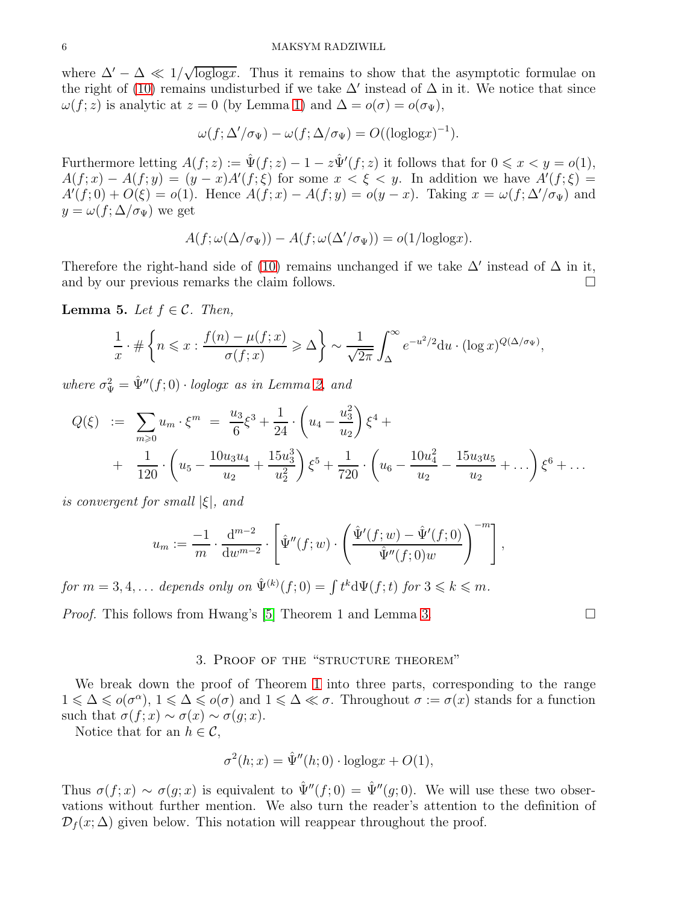where  $\Delta' - \Delta \ll 1/\sqrt{\log \log x}$ . Thus it remains to show that the asymptotic formulae on the right of [\(10\)](#page-4-1) remains undisturbed if we take  $\Delta'$  instead of  $\Delta$  in it. We notice that since  $\omega(f; z)$  is analytic at  $z = 0$  (by Lemma [1\)](#page-3-2) and  $\Delta = o(\sigma) = o(\sigma_{\Psi}),$ 

$$
\omega(f; \Delta'/\sigma_{\Psi}) - \omega(f; \Delta/\sigma_{\Psi}) = O((\text{loglog} x)^{-1}).
$$

Furthermore letting  $A(f; z) := \hat{\Psi}(f; z) - 1 - z\hat{\Psi}'(f; z)$  it follows that for  $0 \leq x < y = o(1)$ ,  $A(f; x) - A(f; y) = (y - x)A'(f; \xi)$  for some  $x < \xi < y$ . In addition we have  $A'(f; \xi) =$  $A'(f; 0) + O(\xi) = o(1)$ . Hence  $A(f; x) - A(f; y) = o(y - x)$ . Taking  $x = \omega(f; \Delta'/\sigma_{\Psi})$  and  $y = \omega(f; \Delta/\sigma_{\Psi})$  we get

$$
A(f; \omega(\Delta/\sigma_{\Psi})) - A(f; \omega(\Delta'/\sigma_{\Psi})) = o(1/\text{loglog}x).
$$

Therefore the right-hand side of [\(10\)](#page-4-1) remains unchanged if we take  $\Delta'$  instead of  $\Delta$  in it, and by our previous remarks the claim follows.

<span id="page-5-0"></span>**Lemma 5.** Let  $f \in \mathcal{C}$ . Then,

$$
\frac{1}{x} \cdot \# \left\{ n \leqslant x : \frac{f(n) - \mu(f; x)}{\sigma(f; x)} \geqslant \Delta \right\} \sim \frac{1}{\sqrt{2\pi}} \int_{\Delta}^{\infty} e^{-u^2/2} du \cdot (\log x)^{Q(\Delta/\sigma_{\Psi})},
$$

where  $\sigma_{\Psi}^2 = \hat{\Psi}''(f; 0) \cdot \text{loglog}x$  as in Lemma [2,](#page-4-2) and

$$
Q(\xi) := \sum_{m\geqslant 0} u_m \cdot \xi^m = \frac{u_3}{6} \xi^3 + \frac{1}{24} \cdot \left( u_4 - \frac{u_3^2}{u_2} \right) \xi^4 +
$$
  
+ 
$$
\frac{1}{120} \cdot \left( u_5 - \frac{10u_3u_4}{u_2} + \frac{15u_3^3}{u_2^2} \right) \xi^5 + \frac{1}{720} \cdot \left( u_6 - \frac{10u_4^2}{u_2} - \frac{15u_3u_5}{u_2} + \dots \right) \xi^6 + \dots
$$

is convergent for small  $|\xi|$ , and

$$
u_m := \frac{-1}{m} \cdot \frac{d^{m-2}}{dw^{m-2}} \cdot \left[ \hat{\Psi}''(f; w) \cdot \left( \frac{\hat{\Psi}'(f; w) - \hat{\Psi}'(f; 0)}{\hat{\Psi}''(f; 0) w} \right)^{-m} \right],
$$

for  $m = 3, 4, ...$  depends only on  $\hat{\Psi}^{(k)}(f; 0) = \int t^k d\Psi(f; t)$  for  $3 \leqslant k \leqslant m$ .

*Proof.* This follows from Hwang's [\[5\]](#page-9-11) Theorem 1 and Lemma [3.](#page-4-0)

#### 3. Proof of the "structure theorem"

We break down the proof of Theorem [1](#page-1-1) into three parts, corresponding to the range  $1 \leq \Delta \leq o(\sigma^{\alpha})$ ,  $1 \leq \Delta \leq o(\sigma)$  and  $1 \leq \Delta \leq \sigma$ . Throughout  $\sigma := \sigma(x)$  stands for a function such that  $\sigma(f; x) \sim \sigma(x) \sim \sigma(q; x)$ .

Notice that for an  $h \in \mathcal{C}$ ,

$$
\sigma^{2}(h;x) = \hat{\Psi}''(h;0) \cdot \text{loglog}x + O(1),
$$

Thus  $\sigma(f; x) \sim \sigma(g; x)$  is equivalent to  $\hat{\Psi}''(f; 0) = \hat{\Psi}''(g; 0)$ . We will use these two observations without further mention. We also turn the reader's attention to the definition of  $\mathcal{D}_f(x;\Delta)$  given below. This notation will reappear throughout the proof.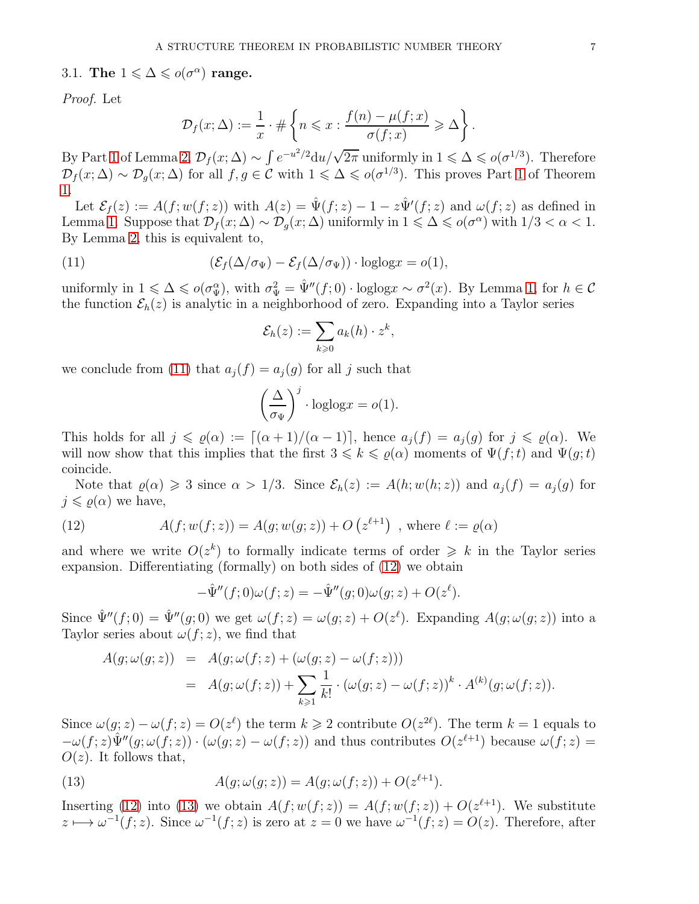3.1. The  $1 \leq \Delta \leq o(\sigma^{\alpha})$  range.

Proof. Let

$$
\mathcal{D}_f(x;\Delta) := \frac{1}{x} \cdot \#\left\{ n \leqslant x : \frac{f(n) - \mu(f;x)}{\sigma(f;x)} \geqslant \Delta \right\}.
$$

By Part [1](#page-1-4) of Lemma [2,](#page-4-2)  $\mathcal{D}_f(x;\Delta) \sim \int e^{-u^2/2} du/\sqrt{2\pi}$  uniformly in  $1 \leq \Delta \leq o(\sigma^{1/3})$ . Therefore  $\mathcal{D}_f(x;\Delta) \sim \mathcal{D}_g(x;\Delta)$  for all  $f,g \in \mathcal{C}$  with  $1 \leq \Delta \leq o(\sigma^{1/3})$ . This proves Part [1](#page-1-4) of Theorem [1.](#page-1-1)

Let  $\mathcal{E}_f(z) := A(f; w(f; z))$  with  $A(z) = \hat{\Psi}(f; z) - 1 - z\hat{\Psi}'(f; z)$  and  $\omega(f; z)$  as defined in Lemma [1.](#page-3-2) Suppose that  $\mathcal{D}_f(x;\Delta) \sim \mathcal{D}_g(x;\Delta)$  uniformly in  $1 \leq \Delta \leq o(\sigma^{\alpha})$  with  $1/3 < \alpha < 1$ . By Lemma [2,](#page-4-2) this is equivalent to,

(11) 
$$
(\mathcal{E}_f(\Delta/\sigma_{\Psi}) - \mathcal{E}_f(\Delta/\sigma_{\Psi})) \cdot \text{loglog} x = o(1),
$$

uniformly in  $1 \leq \Delta \leq o(\sigma_{\Psi}^{\alpha})$ , with  $\sigma_{\Psi}^2 = \hat{\Psi}''(f; 0) \cdot \text{loglog} x \sim \sigma^2(x)$ . By Lemma [1,](#page-3-2) for  $h \in \mathcal{C}$ the function  $\mathcal{E}_h(z)$  is analytic in a neighborhood of zero. Expanding into a Taylor series

<span id="page-6-0"></span>
$$
\mathcal{E}_h(z) := \sum_{k \geqslant 0} a_k(h) \cdot z^k,
$$

we conclude from [\(11\)](#page-6-0) that  $a_j(f) = a_j(g)$  for all j such that

$$
\left(\frac{\Delta}{\sigma_{\Psi}}\right)^j \cdot \log \log x = o(1).
$$

This holds for all  $j \leq \varrho(\alpha) := [(\alpha+1)/(\alpha-1)]$ , hence  $a_j(f) = a_j(g)$  for  $j \leq \varrho(\alpha)$ . We will now show that this implies that the first  $3 \leq k \leq \rho(\alpha)$  moments of  $\Psi(f; t)$  and  $\Psi(g; t)$ coincide.

Note that  $\varrho(\alpha) \geq 3$  since  $\alpha > 1/3$ . Since  $\mathcal{E}_h(z) := A(h; w(h; z))$  and  $a_i(f) = a_i(g)$  for  $j \leq \varrho(\alpha)$  we have,

(12) 
$$
A(f; w(f; z)) = A(g; w(g; z)) + O(z^{\ell+1}), \text{ where } \ell := \varrho(\alpha)
$$

and where we write  $O(z^k)$  to formally indicate terms of order  $\geq k$  in the Taylor series expansion. Differentiating (formally) on both sides of [\(12\)](#page-6-1) we obtain

<span id="page-6-1"></span>
$$
-\hat{\Psi}''(f;0)\omega(f;z) = -\hat{\Psi}''(g;0)\omega(g;z) + O(z^{\ell}).
$$

Since  $\hat{\Psi}''(f;0) = \hat{\Psi}''(g;0)$  we get  $\omega(f;z) = \omega(g;z) + O(z^{\ell})$ . Expanding  $A(g;\omega(g;z))$  into a Taylor series about  $\omega(f; z)$ , we find that

$$
A(g; \omega(g; z)) = A(g; \omega(f; z) + (\omega(g; z) - \omega(f; z)))
$$
  
= 
$$
A(g; \omega(f; z)) + \sum_{k \geqslant 1} \frac{1}{k!} \cdot (\omega(g; z) - \omega(f; z))^k \cdot A^{(k)}(g; \omega(f; z)).
$$

Since  $\omega(g; z) - \omega(f; z) = O(z^{\ell})$  the term  $k \geq 2$  contribute  $O(z^{2\ell})$ . The term  $k = 1$  equals to  $-\omega(f;z)\hat{\Psi}''(g;\omega(f;z))\cdot(\omega(g;z)-\omega(f;z))$  and thus contributes  $O(z^{\ell+1})$  because  $\omega(f;z)$  $O(z)$ . It follows that,

<span id="page-6-2"></span>(13) 
$$
A(g; \omega(g; z)) = A(g; \omega(f; z)) + O(z^{\ell+1}).
$$

Inserting [\(12\)](#page-6-1) into [\(13\)](#page-6-2) we obtain  $A(f; w(f; z)) = A(f; w(f; z)) + O(z^{\ell+1})$ . We substitute  $z \mapsto \omega^{-1}(f; z)$ . Since  $\omega^{-1}(f; z)$  is zero at  $z = 0$  we have  $\omega^{-1}(f; z) = O(z)$ . Therefore, after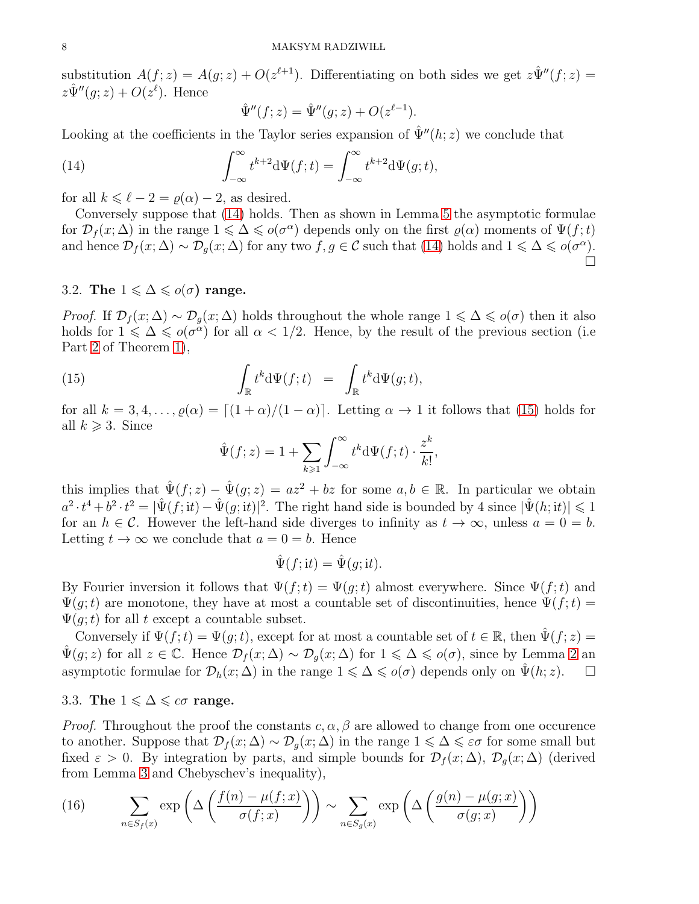substitution  $A(f; z) = A(g; z) + O(z^{\ell+1})$ . Differentiating on both sides we get  $z\hat{\Psi}''(f; z) =$  $z\hat{\Psi}''(g;z) + O(z^{\ell}).$  Hence

<span id="page-7-0"></span>
$$
\hat{\Psi}''(f; z) = \hat{\Psi}''(g; z) + O(z^{\ell - 1}).
$$

Looking at the coefficients in the Taylor series expansion of  $\hat{\Psi}''(h; z)$  we conclude that

(14) 
$$
\int_{-\infty}^{\infty} t^{k+2} d\Psi(f; t) = \int_{-\infty}^{\infty} t^{k+2} d\Psi(g; t),
$$

for all  $k \leq \ell - 2 = \varrho(\alpha) - 2$ , as desired.

Conversely suppose that [\(14\)](#page-7-0) holds. Then as shown in Lemma [5](#page-5-0) the asymptotic formulae for  $\mathcal{D}_f(x;\Delta)$  in the range  $1 \leq \Delta \leq o(\sigma^{\alpha})$  depends only on the first  $\varrho(\alpha)$  moments of  $\Psi(f;t)$ and hence  $\mathcal{D}_f(x;\Delta) \sim \mathcal{D}_g(x;\Delta)$  for any two  $f,g \in \mathcal{C}$  such that [\(14\)](#page-7-0) holds and  $1 \leq \Delta \leq o(\sigma^{\alpha})$ . П

# 3.2. The  $1 \leq \Delta \leq o(\sigma)$  range.

*Proof.* If  $\mathcal{D}_f(x;\Delta) \sim \mathcal{D}_g(x;\Delta)$  holds throughout the whole range  $1 \leq \Delta \leq o(\sigma)$  then it also holds for  $1 \leq \Delta \leq o(\sigma^{\alpha})$  for all  $\alpha < 1/2$ . Hence, by the result of the previous section (i.e. Part [2](#page-1-6) of Theorem [1\)](#page-1-1),

(15) 
$$
\int_{\mathbb{R}} t^k d\Psi(f;t) = \int_{\mathbb{R}} t^k d\Psi(g;t),
$$

for all  $k = 3, 4, \ldots, \varrho(\alpha) = \lfloor (1 + \alpha)/(1 - \alpha) \rfloor$ . Letting  $\alpha \to 1$  it follows that [\(15\)](#page-7-1) holds for all  $k \geqslant 3$ . Since

<span id="page-7-1"></span>
$$
\hat{\Psi}(f;z) = 1 + \sum_{k \geqslant 1} \int_{-\infty}^{\infty} t^k \mathrm{d}\Psi(f;t) \cdot \frac{z^k}{k!},
$$

this implies that  $\hat{\Psi}(f; z) - \hat{\Psi}(g; z) = az^2 + bz$  for some  $a, b \in \mathbb{R}$ . In particular we obtain  $a^2 \cdot t^4 + b^2 \cdot t^2 = |\hat{\Psi}(f; \mathrm{i}t) - \hat{\Psi}(g; \mathrm{i}t)|^2$ . The right hand side is bounded by 4 since  $|\hat{\Psi}(h; \mathrm{i}t)| \leq 1$ for an  $h \in \mathcal{C}$ . However the left-hand side diverges to infinity as  $t \to \infty$ , unless  $a = 0 = b$ . Letting  $t \to \infty$  we conclude that  $a = 0 = b$ . Hence

$$
\hat{\Psi}(f; \mathrm{i}t) = \hat{\Psi}(g; \mathrm{i}t).
$$

By Fourier inversion it follows that  $\Psi(f;t) = \Psi(g;t)$  almost everywhere. Since  $\Psi(f;t)$  and  $\Psi(q,t)$  are monotone, they have at most a countable set of discontinuities, hence  $\Psi(f,t)$  =  $\Psi(q;t)$  for all t except a countable subset.

Conversely if  $\Psi(f;t) = \Psi(g;t)$ , except for at most a countable set of  $t \in \mathbb{R}$ , then  $\Psi(f;z)$  $\Psi(g; z)$  for all  $z \in \mathbb{C}$ . Hence  $\mathcal{D}_f(x; \Delta) \sim \mathcal{D}_g(x; \Delta)$  for  $1 \leq \Delta \leq o(\sigma)$ , since by Lemma [2](#page-4-2) an asymptotic formulae for  $\mathcal{D}_h(x;\Delta)$  in the range  $1 \leq \Delta \leq o(\sigma)$  depends only on  $\hat{\Psi}(h; z)$ .

### 3.3. The  $1 \leq \Delta \leq c\sigma$  range.

*Proof.* Throughout the proof the constants  $c, \alpha, \beta$  are allowed to change from one occurence to another. Suppose that  $\mathcal{D}_f(x;\Delta) \sim \mathcal{D}_g(x;\Delta)$  in the range  $1 \leq \Delta \leq \varepsilon \sigma$  for some small but fixed  $\varepsilon > 0$ . By integration by parts, and simple bounds for  $\mathcal{D}_f(x; \Delta)$ ,  $\mathcal{D}_g(x; \Delta)$  (derived from Lemma [3](#page-4-0) and Chebyschev's inequality),

<span id="page-7-2"></span>(16) 
$$
\sum_{n \in S_f(x)} \exp\left(\Delta\left(\frac{f(n) - \mu(f; x)}{\sigma(f; x)}\right)\right) \sim \sum_{n \in S_g(x)} \exp\left(\Delta\left(\frac{g(n) - \mu(g; x)}{\sigma(g; x)}\right)\right)
$$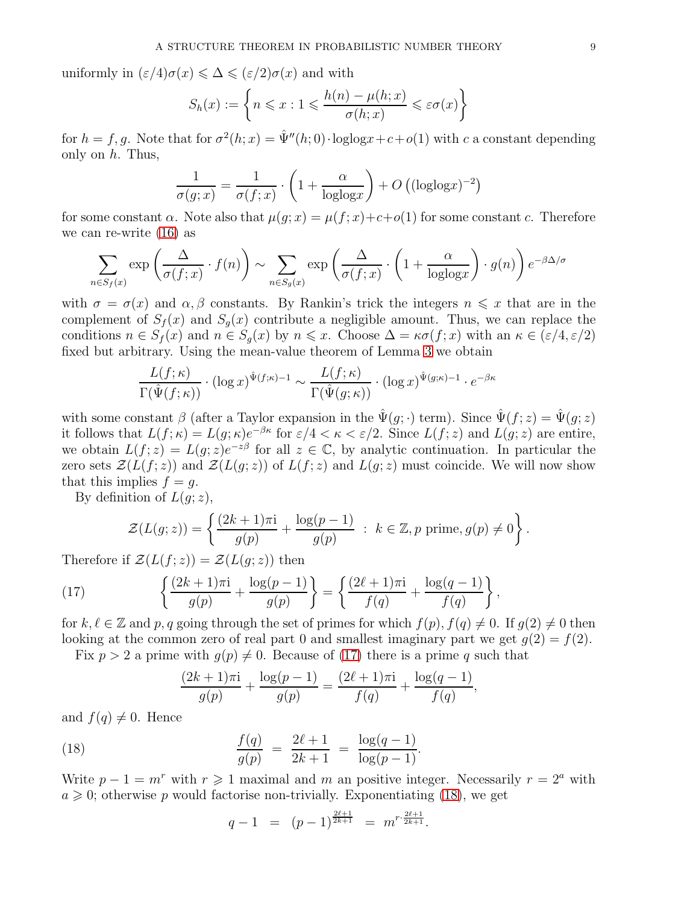uniformly in  $(\varepsilon/4)\sigma(x) \leq \Delta \leq (\varepsilon/2)\sigma(x)$  and with

$$
S_h(x) := \left\{ n \leq x : 1 \leq \frac{h(n) - \mu(h; x)}{\sigma(h; x)} \leq \varepsilon \sigma(x) \right\}
$$

for  $h = f, g$ . Note that for  $\sigma^2(h; x) = \hat{\Psi}''(h; 0) \cdot \text{loglog} x + c + o(1)$  with c a constant depending only on  $h$ . Thus,

$$
\frac{1}{\sigma(g;x)} = \frac{1}{\sigma(f;x)} \cdot \left(1 + \frac{\alpha}{\text{loglog}x}\right) + O\left((\text{loglog}x)^{-2}\right)
$$

for some constant  $\alpha$ . Note also that  $\mu(g; x) = \mu(f; x) + c + o(1)$  for some constant c. Therefore we can re-write [\(16\)](#page-7-2) as

$$
\sum_{n \in S_f(x)} \exp\left(\frac{\Delta}{\sigma(f;x)} \cdot f(n)\right) \sim \sum_{n \in S_g(x)} \exp\left(\frac{\Delta}{\sigma(f;x)} \cdot \left(1 + \frac{\alpha}{\log\log x}\right) \cdot g(n)\right) e^{-\beta \Delta/\sigma}
$$

with  $\sigma = \sigma(x)$  and  $\alpha, \beta$  constants. By Rankin's trick the integers  $n \leq x$  that are in the complement of  $S_f(x)$  and  $S_g(x)$  contribute a negligible amount. Thus, we can replace the conditions  $n \in S_f(x)$  and  $n \in S_g(x)$  by  $n \leq x$ . Choose  $\Delta = \kappa \sigma(f; x)$  with an  $\kappa \in (\varepsilon/4, \varepsilon/2)$ fixed but arbitrary. Using the mean-value theorem of Lemma [3](#page-4-0) we obtain

$$
\frac{L(f; \kappa)}{\Gamma(\hat{\Psi}(f; \kappa))} \cdot (\log x)^{\hat{\Psi}(f; \kappa)-1} \sim \frac{L(f; \kappa)}{\Gamma(\hat{\Psi}(g; \kappa))} \cdot (\log x)^{\hat{\Psi}(g; \kappa)-1} \cdot e^{-\beta \kappa}
$$

with some constant β (after a Taylor expansion in the  $\hat{\Psi}(q; \cdot)$  term). Since  $\hat{\Psi}(f; z) = \hat{\Psi}(q; z)$ it follows that  $L(f; \kappa) = L(g; \kappa)e^{-\beta \kappa}$  for  $\epsilon/4 < \kappa < \epsilon/2$ . Since  $L(f; z)$  and  $L(g; z)$  are entire, we obtain  $L(f; z) = L(g; z)e^{-z\beta}$  for all  $z \in \mathbb{C}$ , by analytic continuation. In particular the zero sets  $\mathcal{Z}(L(f; z))$  and  $\mathcal{Z}(L(g; z))$  of  $L(f; z)$  and  $L(g; z)$  must coincide. We will now show that this implies  $f = g$ .

By definition of  $L(q; z)$ ,

<span id="page-8-0"></span>
$$
\mathcal{Z}(L(g;z)) = \left\{ \frac{(2k+1)\pi i}{g(p)} + \frac{\log(p-1)}{g(p)} \ : \ k \in \mathbb{Z}, p \text{ prime}, g(p) \neq 0 \right\}.
$$

Therefore if  $\mathcal{Z}(L(f;z)) = \mathcal{Z}(L(g;z))$  then

(17) 
$$
\left\{\frac{(2k+1)\pi i}{g(p)} + \frac{\log(p-1)}{g(p)}\right\} = \left\{\frac{(2\ell+1)\pi i}{f(q)} + \frac{\log(q-1)}{f(q)}\right\},\,
$$

for  $k, \ell \in \mathbb{Z}$  and p, q going through the set of primes for which  $f(p), f(q) \neq 0$ . If  $g(2) \neq 0$  then looking at the common zero of real part 0 and smallest imaginary part we get  $g(2) = f(2)$ . Fix  $p > 2$  a prime with  $q(p) \neq 0$ . Because of [\(17\)](#page-8-0) there is a prime q such that

$$
\frac{(2k+1)\pi i}{g(p)} + \frac{\log(p-1)}{g(p)} = \frac{(2\ell+1)\pi i}{f(q)} + \frac{\log(q-1)}{f(q)},
$$

and  $f(q) \neq 0$ . Hence

(18) 
$$
\frac{f(q)}{g(p)} = \frac{2\ell+1}{2k+1} = \frac{\log(q-1)}{\log(p-1)}.
$$

Write  $p - 1 = m^r$  with  $r \ge 1$  maximal and m an positive integer. Necessarily  $r = 2^a$  with  $a \geq 0$ ; otherwise p would factorise non-trivially. Exponentiating [\(18\)](#page-8-1), we get

<span id="page-8-1"></span>
$$
q-1 = (p-1)^{\frac{2\ell+1}{2k+1}} = m^{r \cdot \frac{2\ell+1}{2k+1}}.
$$